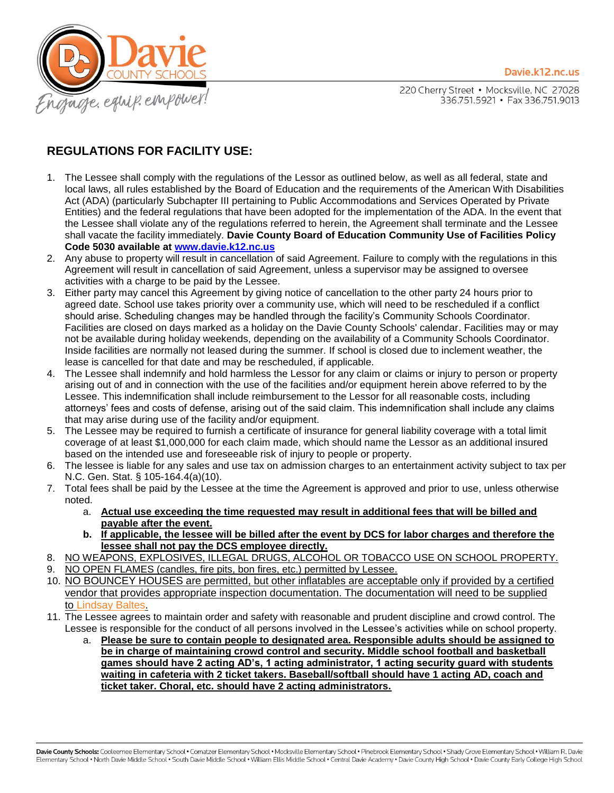

220 Cherry Street . Mocksville, NC 27028 336.751.5921 • Fax 336.751.9013

## **REGULATIONS FOR FACILITY USE:**

- 1. The Lessee shall comply with the regulations of the Lessor as outlined below, as well as all federal, state and local laws, all rules established by the Board of Education and the requirements of the American With Disabilities Act (ADA) (particularly Subchapter III pertaining to Public Accommodations and Services Operated by Private Entities) and the federal regulations that have been adopted for the implementation of the ADA. In the event that the Lessee shall violate any of the regulations referred to herein, the Agreement shall terminate and the Lessee shall vacate the facility immediately. **Davie County Board of Education Community Use of Facilities Policy Code 5030 available at [www.davie.k12.nc.us](http://www.davie.k12.nc.us/)**
- 2. Any abuse to property will result in cancellation of said Agreement. Failure to comply with the regulations in this Agreement will result in cancellation of said Agreement, unless a supervisor may be assigned to oversee activities with a charge to be paid by the Lessee.
- 3. Either party may cancel this Agreement by giving notice of cancellation to the other party 24 hours prior to agreed date. School use takes priority over a community use, which will need to be rescheduled if a conflict should arise. Scheduling changes may be handled through the facility's Community Schools Coordinator. Facilities are closed on days marked as a holiday on the Davie County Schools' calendar. Facilities may or may not be available during holiday weekends, depending on the availability of a Community Schools Coordinator. Inside facilities are normally not leased during the summer. If school is closed due to inclement weather, the lease is cancelled for that date and may be rescheduled, if applicable.
- 4. The Lessee shall indemnify and hold harmless the Lessor for any claim or claims or injury to person or property arising out of and in connection with the use of the facilities and/or equipment herein above referred to by the Lessee. This indemnification shall include reimbursement to the Lessor for all reasonable costs, including attorneys' fees and costs of defense, arising out of the said claim. This indemnification shall include any claims that may arise during use of the facility and/or equipment.
- 5. The Lessee may be required to furnish a certificate of insurance for general liability coverage with a total limit coverage of at least \$1,000,000 for each claim made, which should name the Lessor as an additional insured based on the intended use and foreseeable risk of injury to people or property.
- 6. The lessee is liable for any sales and use tax on admission charges to an entertainment activity subject to tax per N.C. Gen. Stat. § 105-164.4(a)(10).
- 7. Total fees shall be paid by the Lessee at the time the Agreement is approved and prior to use, unless otherwise noted.
	- a. **Actual use exceeding the time requested may result in additional fees that will be billed and payable after the event.**
	- **b. If applicable, the lessee will be billed after the event by DCS for labor charges and therefore the lessee shall not pay the DCS employee directly.**
- 8. NO WEAPONS, EXPLOSIVES, ILLEGAL DRUGS, ALCOHOL OR TOBACCO USE ON SCHOOL PROPERTY. 9. NO OPEN FLAMES (candles, fire pits, bon fires, etc.) permitted by Lessee.
- 10. NO BOUNCEY HOUSES are permitted, but other inflatables are acceptable only if provided by a certified vendor that provides appropriate inspection documentation. The documentation will need to be supplied to [Lindsay Baltes.](mailto:baltesl@davie.k12.nc.us)
- 11. The Lessee agrees to maintain order and safety with reasonable and prudent discipline and crowd control. The Lessee is responsible for the conduct of all persons involved in the Lessee's activities while on school property.
	- a. **Please be sure to contain people to designated area. Responsible adults should be assigned to be in charge of maintaining crowd control and security. Middle school football and basketball games should have 2 acting AD's, 1 acting administrator, 1 acting security guard with students waiting in cafeteria with 2 ticket takers. Baseball/softball should have 1 acting AD, coach and ticket taker. Choral, etc. should have 2 acting administrators.**